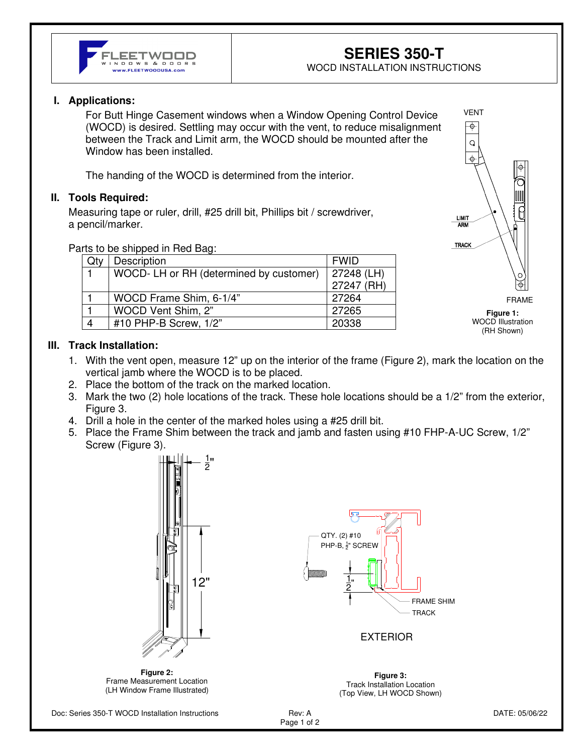

WOCD INSTALLATION INSTRUCTIONS

# **I. Applications:**

For Butt Hinge Casement windows when a Window Opening Control Device (WOCD) is desired. Settling may occur with the vent, to reduce misalignment between the Track and Limit arm, the WOCD should be mounted after the Window has been installed.

The handing of the WOCD is determined from the interior.

## **II. Tools Required:**

Measuring tape or ruler, drill, #25 drill bit, Phillips bit / screwdriver, a pencil/marker.

Parts to be shipped in Red Bag:

|                        | Description                            | <b>FWID</b> |
|------------------------|----------------------------------------|-------------|
|                        | WOCD-LH or RH (determined by customer) | 27248 (LH)  |
|                        |                                        | 27247 (RH)  |
|                        | WOCD Frame Shim, 6-1/4"                | 27264       |
|                        | WOCD Vent Shim, 2"                     | 27265       |
| $\boldsymbol{\Lambda}$ | #10 PHP-B Screw, 1/2"                  | 20338       |



WOCD Illustration (RH Shown)

#### **III. Track Installation:**

- 1. With the vent open, measure 12" up on the interior of the frame (Figure 2), mark the location on the vertical jamb where the WOCD is to be placed.
- 2. Place the bottom of the track on the marked location.
- 3. Mark the two (2) hole locations of the track. These hole locations should be a 1/2" from the exterior, Figure 3.
- 4. Drill a hole in the center of the marked holes using a #25 drill bit.
- 5. Place the Frame Shim between the track and jamb and fasten using #10 FHP-A-UC Screw, 1/2" Screw (Figure 3).







#### EXTERIOR

**Figure 3:**  Track Installation Location (Top View, LH WOCD Shown)

Doc: Series 350-T WOCD Installation Instructions Rev: A Rev: A DATE: 05/06/22